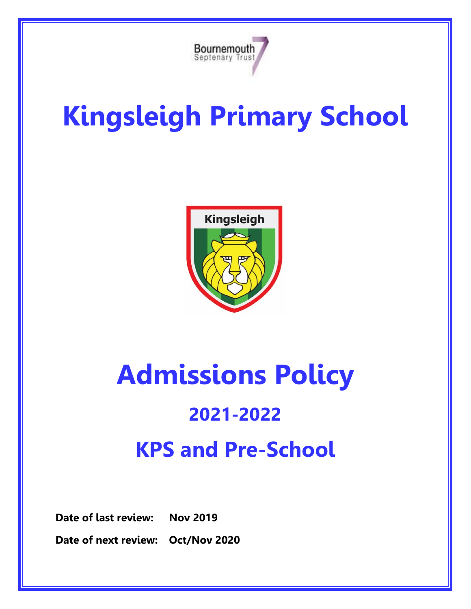

# **Kingsleigh Primary School**



## **Admissions Policy**

### **2021-2022 KPS and Pre-School**

**Date of last review: Nov 2019**

**Date of next review: Oct/Nov 2020**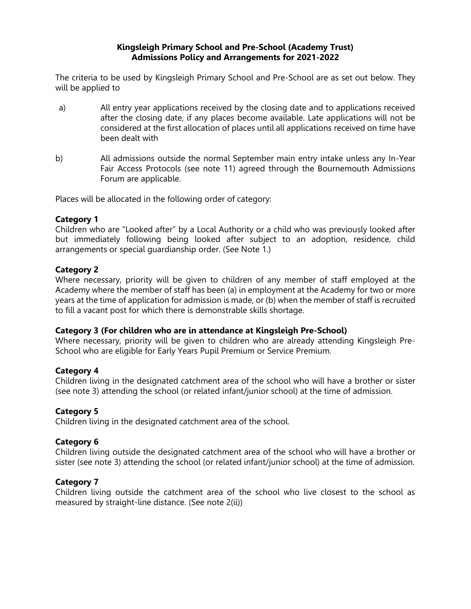#### **Kingsleigh Primary School and Pre-School (Academy Trust) Admissions Policy and Arrangements for 2021-2022**

The criteria to be used by Kingsleigh Primary School and Pre-School are as set out below. They will be applied to

- a) All entry year applications received by the closing date and to applications received after the closing date, if any places become available. Late applications will not be considered at the first allocation of places until all applications received on time have been dealt with
- b) All admissions outside the normal September main entry intake unless any In-Year Fair Access Protocols (see note 11) agreed through the Bournemouth Admissions Forum are applicable.

Places will be allocated in the following order of category:

#### **Category 1**

Children who are "Looked after" by a Local Authority or a child who was previously looked after but immediately following being looked after subject to an adoption, residence, child arrangements or special guardianship order. (See Note 1.)

#### **Category 2**

Where necessary, priority will be given to children of any member of staff employed at the Academy where the member of staff has been (a) in employment at the Academy for two or more years at the time of application for admission is made, or (b) when the member of staff is recruited to fill a vacant post for which there is demonstrable skills shortage.

#### **Category 3 (For children who are in attendance at Kingsleigh Pre-School)**

Where necessary, priority will be given to children who are already attending Kingsleigh Pre-School who are eligible for Early Years Pupil Premium or Service Premium.

#### **Category 4**

Children living in the designated catchment area of the school who will have a brother or sister (see note 3) attending the school (or related infant/junior school) at the time of admission.

#### **Category 5**

Children living in the designated catchment area of the school.

#### **Category 6**

Children living outside the designated catchment area of the school who will have a brother or sister (see note 3) attending the school (or related infant/junior school) at the time of admission.

#### **Category 7**

Children living outside the catchment area of the school who live closest to the school as measured by straight-line distance. (See note 2(ii))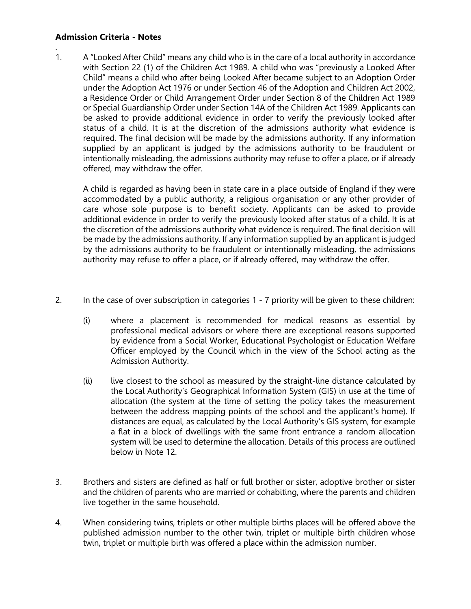#### **Admission Criteria - Notes**

.

1. A "Looked After Child" means any child who is in the care of a local authority in accordance with Section 22 (1) of the Children Act 1989. A child who was "previously a Looked After Child" means a child who after being Looked After became subject to an Adoption Order under the Adoption Act 1976 or under Section 46 of the Adoption and Children Act 2002, a Residence Order or Child Arrangement Order under Section 8 of the Children Act 1989 or Special Guardianship Order under Section 14A of the Children Act 1989. Applicants can be asked to provide additional evidence in order to verify the previously looked after status of a child. It is at the discretion of the admissions authority what evidence is required. The final decision will be made by the admissions authority. If any information supplied by an applicant is judged by the admissions authority to be fraudulent or intentionally misleading, the admissions authority may refuse to offer a place, or if already offered, may withdraw the offer.

A child is regarded as having been in state care in a place outside of England if they were accommodated by a public authority, a religious organisation or any other provider of care whose sole purpose is to benefit society. Applicants can be asked to provide additional evidence in order to verify the previously looked after status of a child. It is at the discretion of the admissions authority what evidence is required. The final decision will be made by the admissions authority. If any information supplied by an applicant is judged by the admissions authority to be fraudulent or intentionally misleading, the admissions authority may refuse to offer a place, or if already offered, may withdraw the offer.

- 2. In the case of over subscription in categories 1 7 priority will be given to these children:
	- (i) where a placement is recommended for medical reasons as essential by professional medical advisors or where there are exceptional reasons supported by evidence from a Social Worker, Educational Psychologist or Education Welfare Officer employed by the Council which in the view of the School acting as the Admission Authority.
	- (ii) live closest to the school as measured by the straight-line distance calculated by the Local Authority's Geographical Information System (GIS) in use at the time of allocation (the system at the time of setting the policy takes the measurement between the address mapping points of the school and the applicant's home). If distances are equal, as calculated by the Local Authority's GIS system, for example a flat in a block of dwellings with the same front entrance a random allocation system will be used to determine the allocation. Details of this process are outlined below in Note 12.
- 3. Brothers and sisters are defined as half or full brother or sister, adoptive brother or sister and the children of parents who are married or cohabiting, where the parents and children live together in the same household.
- 4. When considering twins, triplets or other multiple births places will be offered above the published admission number to the other twin, triplet or multiple birth children whose twin, triplet or multiple birth was offered a place within the admission number.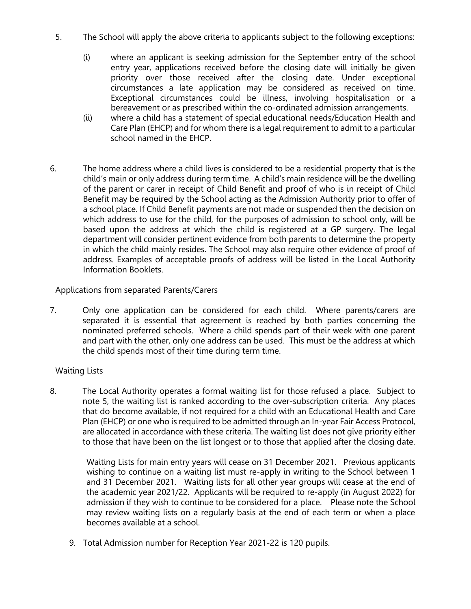- 5. The School will apply the above criteria to applicants subject to the following exceptions:
	- (i) where an applicant is seeking admission for the September entry of the school entry year, applications received before the closing date will initially be given priority over those received after the closing date. Under exceptional circumstances a late application may be considered as received on time. Exceptional circumstances could be illness, involving hospitalisation or a bereavement or as prescribed within the co-ordinated admission arrangements.
	- (ii) where a child has a statement of special educational needs/Education Health and Care Plan (EHCP) and for whom there is a legal requirement to admit to a particular school named in the EHCP.
- 6. The home address where a child lives is considered to be a residential property that is the child's main or only address during term time. A child's main residence will be the dwelling of the parent or carer in receipt of Child Benefit and proof of who is in receipt of Child Benefit may be required by the School acting as the Admission Authority prior to offer of a school place. If Child Benefit payments are not made or suspended then the decision on which address to use for the child, for the purposes of admission to school only, will be based upon the address at which the child is registered at a GP surgery. The legal department will consider pertinent evidence from both parents to determine the property in which the child mainly resides. The School may also require other evidence of proof of address. Examples of acceptable proofs of address will be listed in the Local Authority Information Booklets.

#### Applications from separated Parents/Carers

7. Only one application can be considered for each child. Where parents/carers are separated it is essential that agreement is reached by both parties concerning the nominated preferred schools. Where a child spends part of their week with one parent and part with the other, only one address can be used. This must be the address at which the child spends most of their time during term time.

#### Waiting Lists

8. The Local Authority operates a formal waiting list for those refused a place. Subject to note 5, the waiting list is ranked according to the over-subscription criteria. Any places that do become available, if not required for a child with an Educational Health and Care Plan (EHCP) or one who is required to be admitted through an In-year Fair Access Protocol, are allocated in accordance with these criteria. The waiting list does not give priority either to those that have been on the list longest or to those that applied after the closing date.

Waiting Lists for main entry years will cease on 31 December 2021. Previous applicants wishing to continue on a waiting list must re-apply in writing to the School between 1 and 31 December 2021. Waiting lists for all other year groups will cease at the end of the academic year 2021/22. Applicants will be required to re-apply (in August 2022) for admission if they wish to continue to be considered for a place. Please note the School may review waiting lists on a regularly basis at the end of each term or when a place becomes available at a school.

9. Total Admission number for Reception Year 2021-22 is 120 pupils.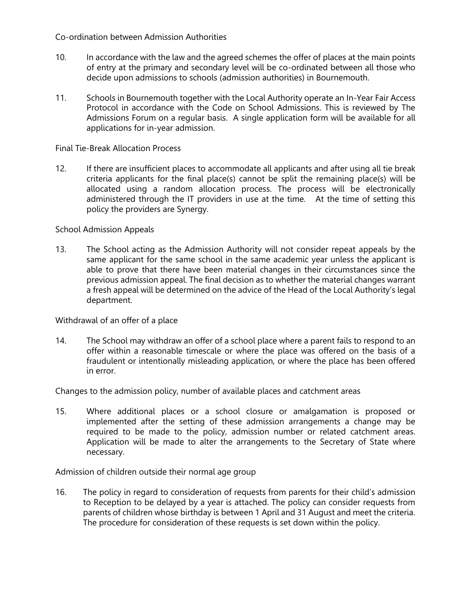Co-ordination between Admission Authorities

- 10. In accordance with the law and the agreed schemes the offer of places at the main points of entry at the primary and secondary level will be co-ordinated between all those who decide upon admissions to schools (admission authorities) in Bournemouth.
- 11. Schools in Bournemouth together with the Local Authority operate an In-Year Fair Access Protocol in accordance with the Code on School Admissions. This is reviewed by The Admissions Forum on a regular basis. A single application form will be available for all applications for in-year admission.

#### Final Tie-Break Allocation Process

12. If there are insufficient places to accommodate all applicants and after using all tie break criteria applicants for the final place(s) cannot be split the remaining place(s) will be allocated using a random allocation process. The process will be electronically administered through the IT providers in use at the time. At the time of setting this policy the providers are Synergy.

#### School Admission Appeals

13. The School acting as the Admission Authority will not consider repeat appeals by the same applicant for the same school in the same academic year unless the applicant is able to prove that there have been material changes in their circumstances since the previous admission appeal. The final decision as to whether the material changes warrant a fresh appeal will be determined on the advice of the Head of the Local Authority's legal department.

Withdrawal of an offer of a place

14. The School may withdraw an offer of a school place where a parent fails to respond to an offer within a reasonable timescale or where the place was offered on the basis of a fraudulent or intentionally misleading application, or where the place has been offered in error.

Changes to the admission policy, number of available places and catchment areas

15. Where additional places or a school closure or amalgamation is proposed or implemented after the setting of these admission arrangements a change may be required to be made to the policy, admission number or related catchment areas. Application will be made to alter the arrangements to the Secretary of State where necessary.

Admission of children outside their normal age group

16. The policy in regard to consideration of requests from parents for their child's admission to Reception to be delayed by a year is attached. The policy can consider requests from parents of children whose birthday is between 1 April and 31 August and meet the criteria. The procedure for consideration of these requests is set down within the policy.